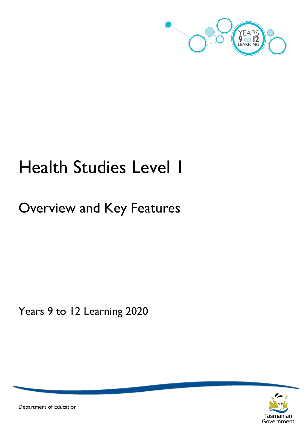

# Health Studies Level 1

## Overview and Key Features

Years 9 to 12 Learning 2020



Department of Education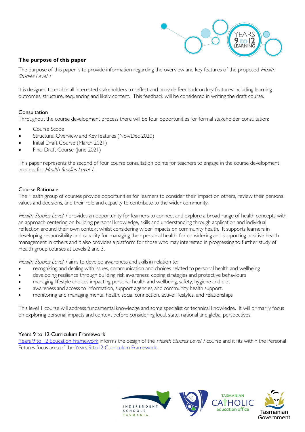

#### **The purpose of this paper**

The purpose of this paper is to provide information regarding the overview and key features of the proposed Health Studies Level 1

It is designed to enable all interested stakeholders to reflect and provide feedback on key features including learning outcomes, structure, sequencing and likely content. This feedback will be considered in writing the draft course.

#### Consultation

Throughout the course development process there will be four opportunities for formal stakeholder consultation:

- Course Scope
- Structural Overview and Key features (Nov/Dec 2020)
- Initial Draft Course (March 2021)
- Final Draft Course (June 2021)

This paper represents the second of four course consultation points for teachers to engage in the course development process for Health Studies Level 1.

#### Course Rationale

The Health group of courses provide opportunities for learners to consider their impact on others, review their personal values and decisions, and their role and capacity to contribute to the wider community.

Health Studies Level / provides an opportunity for learners to connect and explore a broad range of health concepts with an approach centering on building personal knowledge, skills and understanding through application and individual reflection around their own context whilst considering wider impacts on community health. It supports learners in developing responsibility and capacity for managing their personal health, for considering and supporting positive health management in others and it also provides a platform for those who may interested in progressing to further study of Health group courses at Levels 2 and 3.

Health Studies Level / aims to develop awareness and skills in relation to:

- recognising and dealing with issues, communication and choices related to personal health and wellbeing
- developing resilience through building risk awareness, coping strategies and protective behaviours
- managing lifestyle choices impacting personal health and wellbeing, safety, hygiene and diet
- awareness and access to information, support agencies, and community health support.
- monitoring and managing mental health, social connection, active lifestyles, and relationships

This level 1 course will address fundamental knowledge and some specialist or technical knowledge. It will primarily focus on exploring personal impacts and context before considering local, state, national and global perspectives.

#### Years 9 to 12 Curriculum Framework

[Years 9 to 12 Education Framework](https://publicdocumentcentre.education.tas.gov.au/library/Shared%20Documents/Years-9-to-12-Education-Framework.pdf) informs the design of the Health Studies Level 1 course and it fits within the Personal Futures focus area of the Years 9 to12 Curriculum Framework.

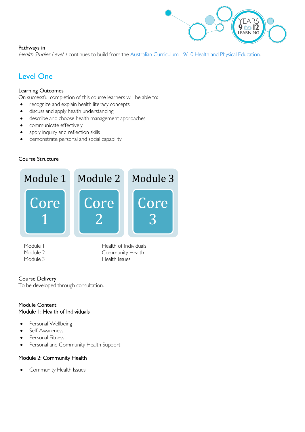

#### Pathways in

Health Studies Level 1 continues to build from the Australian Curriculum - [9/10 Health and Physical Education.](https://www.australiancurriculum.edu.au/f-10-curriculum/health-and-physical-education/)

### Level One

#### Learning Outcomes

On successful completion of this course learners will be able to:

- recognize and explain health literacy concepts
- discuss and apply health understanding
- describe and choose health management approaches
- communicate effectively
- apply inquiry and reflection skills
- demonstrate personal and social capability

#### Course Structure



Module I Health of Individuals Module 2 Community Health Module 3 Health Issues

#### Course Delivery

To be developed through consultation.

#### Module Content Module 1: Health of Individuals

- Personal Wellbeing
- Self-Awareness
- Personal Fitness
- Personal and Community Health Support

#### Module 2: Community Health

Community Health Issues